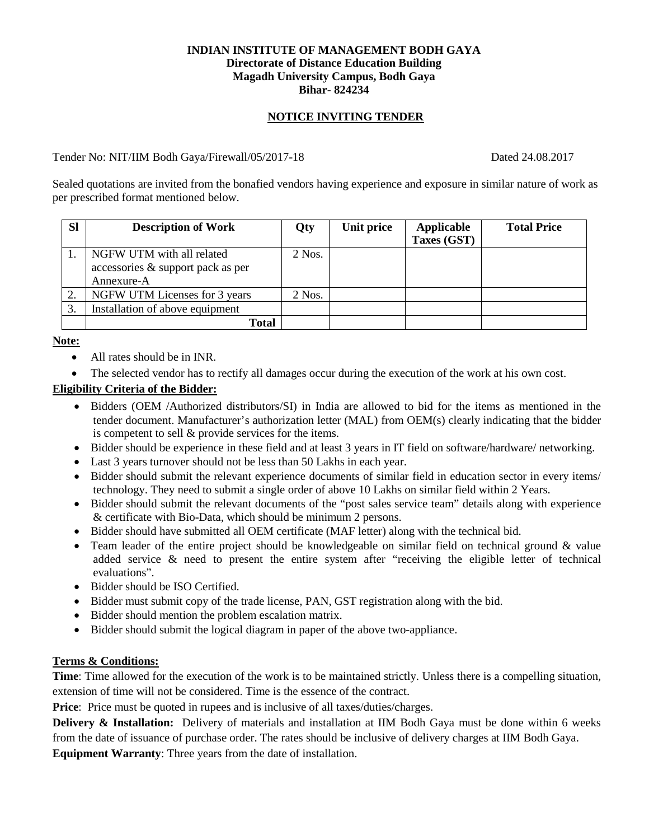## **INDIAN INSTITUTE OF MANAGEMENT BODH GAYA Directorate of Distance Education Building Magadh University Campus, Bodh Gaya Bihar- 824234**

# **NOTICE INVITING TENDER**

## Tender No: NIT/IIM Bodh Gaya/Firewall/05/2017-18 Dated 24.08.2017

Sealed quotations are invited from the bonafied vendors having experience and exposure in similar nature of work as per prescribed format mentioned below.

| <b>SI</b> | <b>Description of Work</b>        | Qty      | Unit price | Applicable<br>Taxes (GST) | <b>Total Price</b> |
|-----------|-----------------------------------|----------|------------|---------------------------|--------------------|
|           | NGFW UTM with all related         | $2$ Nos. |            |                           |                    |
|           | accessories & support pack as per |          |            |                           |                    |
|           | Annexure-A                        |          |            |                           |                    |
| 2.        | NGFW UTM Licenses for 3 years     | $2$ Nos. |            |                           |                    |
|           | Installation of above equipment   |          |            |                           |                    |
|           | <b>Total</b>                      |          |            |                           |                    |

**Note:**

- All rates should be in INR.
- The selected vendor has to rectify all damages occur during the execution of the work at his own cost.

## **Eligibility Criteria of the Bidder:**

- Bidders (OEM /Authorized distributors/SI) in India are allowed to bid for the items as mentioned in the tender document. Manufacturer's authorization letter (MAL) from OEM(s) clearly indicating that the bidder is competent to sell & provide services for the items.
- Bidder should be experience in these field and at least 3 years in IT field on software/hardware/ networking.
- Last 3 years turnover should not be less than 50 Lakhs in each year.
- Bidder should submit the relevant experience documents of similar field in education sector in every items/ technology. They need to submit a single order of above 10 Lakhs on similar field within 2 Years.
- Bidder should submit the relevant documents of the "post sales service team" details along with experience & certificate with Bio-Data, which should be minimum 2 persons.
- Bidder should have submitted all OEM certificate (MAF letter) along with the technical bid.
- Team leader of the entire project should be knowledgeable on similar field on technical ground  $\&$  value added service & need to present the entire system after "receiving the eligible letter of technical evaluations".
- Bidder should be ISO Certified.
- Bidder must submit copy of the trade license, PAN, GST registration along with the bid.
- Bidder should mention the problem escalation matrix.
- Bidder should submit the logical diagram in paper of the above two-appliance.

## **Terms & Conditions:**

**Time**: Time allowed for the execution of the work is to be maintained strictly. Unless there is a compelling situation, extension of time will not be considered. Time is the essence of the contract.

**Price**: Price must be quoted in rupees and is inclusive of all taxes/duties/charges.

**Delivery & Installation:** Delivery of materials and installation at IIM Bodh Gaya must be done within 6 weeks from the date of issuance of purchase order. The rates should be inclusive of delivery charges at IIM Bodh Gaya. **Equipment Warranty**: Three years from the date of installation.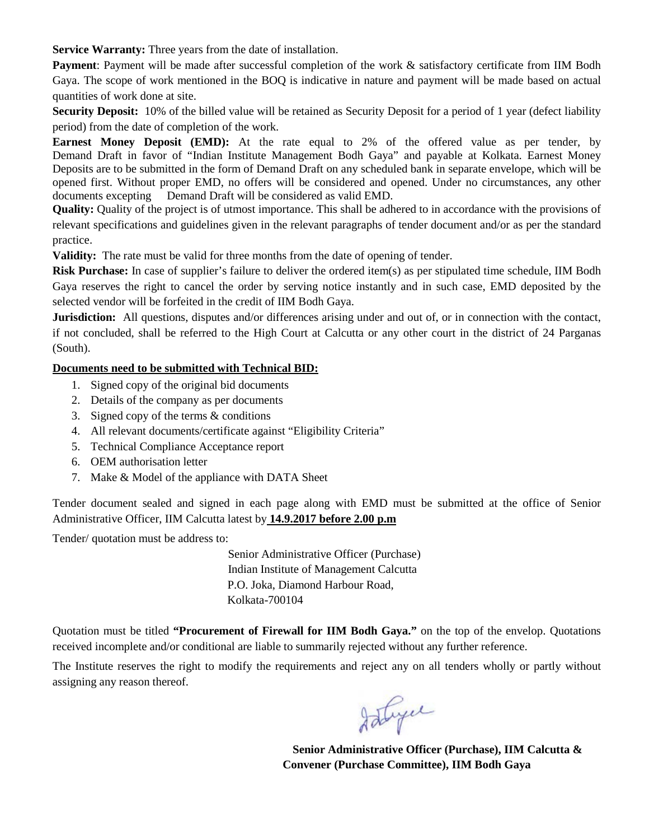**Service Warranty:** Three years from the date of installation.

**Payment**: Payment will be made after successful completion of the work & satisfactory certificate from IIM Bodh Gaya. The scope of work mentioned in the BOQ is indicative in nature and payment will be made based on actual quantities of work done at site.

**Security Deposit:** 10% of the billed value will be retained as Security Deposit for a period of 1 year (defect liability period) from the date of completion of the work.

**Earnest Money Deposit (EMD):** At the rate equal to 2% of the offered value as per tender, by Demand Draft in favor of "Indian Institute Management Bodh Gaya" and payable at Kolkata. Earnest Money Deposits are to be submitted in the form of Demand Draft on any scheduled bank in separate envelope, which will be opened first. Without proper EMD, no offers will be considered and opened. Under no circumstances, any other documents excepting Demand Draft will be considered as valid EMD.

**Quality:** Quality of the project is of utmost importance. This shall be adhered to in accordance with the provisions of relevant specifications and guidelines given in the relevant paragraphs of tender document and/or as per the standard practice.

**Validity:** The rate must be valid for three months from the date of opening of tender.

**Risk Purchase:** In case of supplier's failure to deliver the ordered item(s) as per stipulated time schedule, IIM Bodh Gaya reserves the right to cancel the order by serving notice instantly and in such case, EMD deposited by the selected vendor will be forfeited in the credit of IIM Bodh Gaya.

**Jurisdiction:** All questions, disputes and/or differences arising under and out of, or in connection with the contact, if not concluded, shall be referred to the High Court at Calcutta or any other court in the district of 24 Parganas (South).

# **Documents need to be submitted with Technical BID:**

- 1. Signed copy of the original bid documents
- 2. Details of the company as per documents
- 3. Signed copy of the terms & conditions
- 4. All relevant documents/certificate against "Eligibility Criteria"
- 5. Technical Compliance Acceptance report
- 6. OEM authorisation letter
- 7. Make & Model of the appliance with DATA Sheet

Tender document sealed and signed in each page along with EMD must be submitted at the office of Senior Administrative Officer, IIM Calcutta latest by **14.9.2017 before 2.00 p.m**

Tender/ quotation must be address to:

 Senior Administrative Officer (Purchase) Indian Institute of Management Calcutta P.O. Joka, Diamond Harbour Road, Kolkata-700104

Quotation must be titled **"Procurement of Firewall for IIM Bodh Gaya."** on the top of the envelop. Quotations received incomplete and/or conditional are liable to summarily rejected without any further reference.

The Institute reserves the right to modify the requirements and reject any on all tenders wholly or partly without assigning any reason thereof.

Istyce

 **Senior Administrative Officer (Purchase), IIM Calcutta & Convener (Purchase Committee), IIM Bodh Gaya**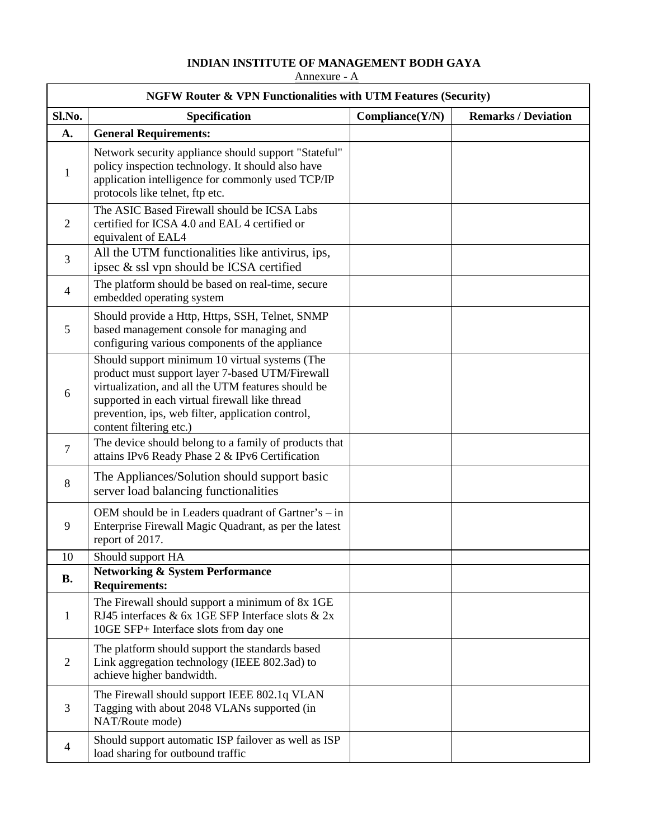# **INDIAN INSTITUTE OF MANAGEMENT BODH GAYA**

Annexure - A

| <b>NGFW Router &amp; VPN Functionalities with UTM Features (Security)</b> |                                                                                                                                                                                                                                                                                           |                 |                            |
|---------------------------------------------------------------------------|-------------------------------------------------------------------------------------------------------------------------------------------------------------------------------------------------------------------------------------------------------------------------------------------|-----------------|----------------------------|
| Sl.No.                                                                    | Specification                                                                                                                                                                                                                                                                             | Compliance(Y/N) | <b>Remarks / Deviation</b> |
| A.                                                                        | <b>General Requirements:</b>                                                                                                                                                                                                                                                              |                 |                            |
| $\mathbf{1}$                                                              | Network security appliance should support "Stateful"<br>policy inspection technology. It should also have<br>application intelligence for commonly used TCP/IP<br>protocols like telnet, ftp etc.                                                                                         |                 |                            |
| $\overline{2}$                                                            | The ASIC Based Firewall should be ICSA Labs<br>certified for ICSA 4.0 and EAL 4 certified or<br>equivalent of EAL4                                                                                                                                                                        |                 |                            |
| 3                                                                         | All the UTM functionalities like antivirus, ips,<br>ipsec & ssl vpn should be ICSA certified                                                                                                                                                                                              |                 |                            |
| 4                                                                         | The platform should be based on real-time, secure<br>embedded operating system                                                                                                                                                                                                            |                 |                            |
| 5                                                                         | Should provide a Http, Https, SSH, Telnet, SNMP<br>based management console for managing and<br>configuring various components of the appliance                                                                                                                                           |                 |                            |
| 6                                                                         | Should support minimum 10 virtual systems (The<br>product must support layer 7-based UTM/Firewall<br>virtualization, and all the UTM features should be<br>supported in each virtual firewall like thread<br>prevention, ips, web filter, application control,<br>content filtering etc.) |                 |                            |
| $\overline{7}$                                                            | The device should belong to a family of products that<br>attains IPv6 Ready Phase 2 & IPv6 Certification                                                                                                                                                                                  |                 |                            |
| 8                                                                         | The Appliances/Solution should support basic<br>server load balancing functionalities                                                                                                                                                                                                     |                 |                            |
| 9                                                                         | OEM should be in Leaders quadrant of Gartner's – in<br>Enterprise Firewall Magic Quadrant, as per the latest<br>report of 2017.                                                                                                                                                           |                 |                            |
| 10                                                                        | Should support HA                                                                                                                                                                                                                                                                         |                 |                            |
| <b>B.</b>                                                                 | <b>Networking &amp; System Performance</b><br><b>Requirements:</b>                                                                                                                                                                                                                        |                 |                            |
| 1                                                                         | The Firewall should support a minimum of 8x 1GE<br>RJ45 interfaces & 6x 1GE SFP Interface slots & 2x<br>10GE SFP+ Interface slots from day one                                                                                                                                            |                 |                            |
| 2                                                                         | The platform should support the standards based<br>Link aggregation technology (IEEE 802.3ad) to<br>achieve higher bandwidth.                                                                                                                                                             |                 |                            |
| 3                                                                         | The Firewall should support IEEE 802.1q VLAN<br>Tagging with about 2048 VLANs supported (in<br>NAT/Route mode)                                                                                                                                                                            |                 |                            |
| 4                                                                         | Should support automatic ISP failover as well as ISP<br>load sharing for outbound traffic                                                                                                                                                                                                 |                 |                            |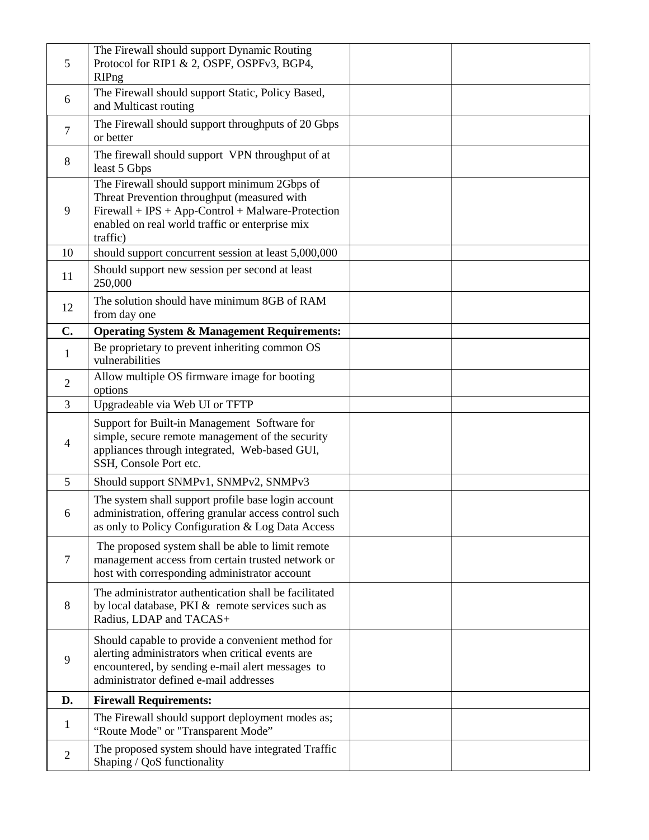| 5              | The Firewall should support Dynamic Routing<br>Protocol for RIP1 & 2, OSPF, OSPFv3, BGP4,<br><b>RIPng</b>                                                                                                       |  |
|----------------|-----------------------------------------------------------------------------------------------------------------------------------------------------------------------------------------------------------------|--|
| 6              | The Firewall should support Static, Policy Based,<br>and Multicast routing                                                                                                                                      |  |
| $\overline{7}$ | The Firewall should support throughputs of 20 Gbps<br>or better                                                                                                                                                 |  |
| 8              | The firewall should support VPN throughput of at<br>least 5 Gbps                                                                                                                                                |  |
| 9              | The Firewall should support minimum 2Gbps of<br>Threat Prevention throughput (measured with<br>Firewall + IPS + App-Control + Malware-Protection<br>enabled on real world traffic or enterprise mix<br>traffic) |  |
| 10             | should support concurrent session at least 5,000,000                                                                                                                                                            |  |
| 11             | Should support new session per second at least<br>250,000                                                                                                                                                       |  |
| 12             | The solution should have minimum 8GB of RAM<br>from day one                                                                                                                                                     |  |
| $\mathbf{C}$ . | <b>Operating System &amp; Management Requirements:</b>                                                                                                                                                          |  |
| 1              | Be proprietary to prevent inheriting common OS<br>vulnerabilities                                                                                                                                               |  |
| 2              | Allow multiple OS firmware image for booting<br>options                                                                                                                                                         |  |
| 3              | Upgradeable via Web UI or TFTP                                                                                                                                                                                  |  |
| 4              | Support for Built-in Management Software for<br>simple, secure remote management of the security<br>appliances through integrated, Web-based GUI,<br>SSH, Console Port etc.                                     |  |
| 5              | Should support SNMPv1, SNMPv2, SNMPv3                                                                                                                                                                           |  |
| 6              | The system shall support profile base login account<br>administration, offering granular access control such<br>as only to Policy Configuration & Log Data Access                                               |  |
| 7              | The proposed system shall be able to limit remote<br>management access from certain trusted network or<br>host with corresponding administrator account                                                         |  |
| 8              | The administrator authentication shall be facilitated<br>by local database, PKI & remote services such as<br>Radius, LDAP and TACAS+                                                                            |  |
| 9              | Should capable to provide a convenient method for<br>alerting administrators when critical events are<br>encountered, by sending e-mail alert messages to<br>administrator defined e-mail addresses             |  |
| D.             | <b>Firewall Requirements:</b>                                                                                                                                                                                   |  |
| 1              | The Firewall should support deployment modes as;<br>"Route Mode" or "Transparent Mode"                                                                                                                          |  |
| $\overline{2}$ | The proposed system should have integrated Traffic<br>Shaping / QoS functionality                                                                                                                               |  |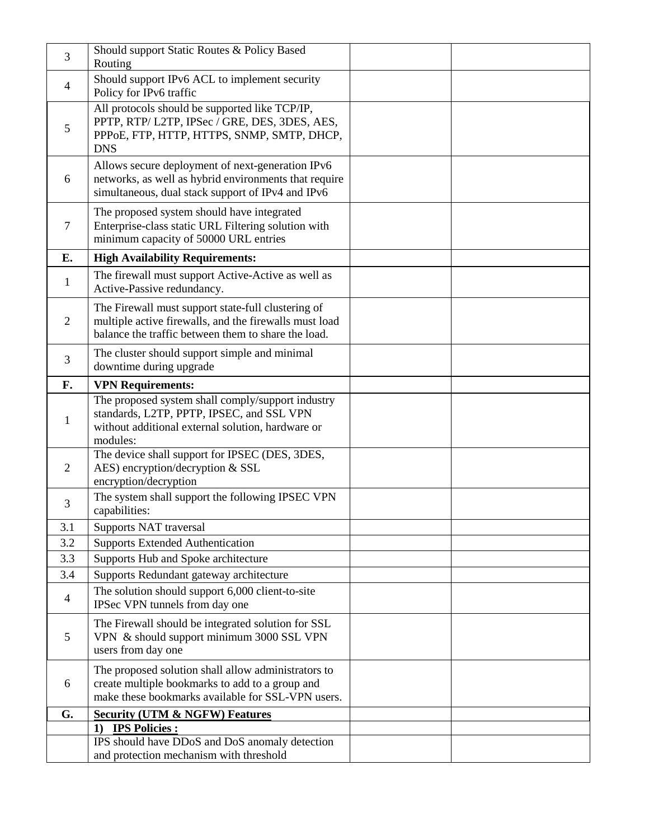| 3              | Should support Static Routes & Policy Based<br>Routing                                                                                                              |  |
|----------------|---------------------------------------------------------------------------------------------------------------------------------------------------------------------|--|
| 4              | Should support IPv6 ACL to implement security<br>Policy for IPv6 traffic                                                                                            |  |
| 5              | All protocols should be supported like TCP/IP,<br>PPTP, RTP/L2TP, IPSec / GRE, DES, 3DES, AES,<br>PPPOE, FTP, HTTP, HTTPS, SNMP, SMTP, DHCP,<br><b>DNS</b>          |  |
| 6              | Allows secure deployment of next-generation IPv6<br>networks, as well as hybrid environments that require<br>simultaneous, dual stack support of IPv4 and IPv6      |  |
| 7              | The proposed system should have integrated<br>Enterprise-class static URL Filtering solution with<br>minimum capacity of 50000 URL entries                          |  |
| E.             | <b>High Availability Requirements:</b>                                                                                                                              |  |
| 1              | The firewall must support Active-Active as well as<br>Active-Passive redundancy.                                                                                    |  |
| $\overline{2}$ | The Firewall must support state-full clustering of<br>multiple active firewalls, and the firewalls must load<br>balance the traffic between them to share the load. |  |
| 3              | The cluster should support simple and minimal<br>downtime during upgrade                                                                                            |  |
| F.             | <b>VPN Requirements:</b>                                                                                                                                            |  |
| 1              | The proposed system shall comply/support industry<br>standards, L2TP, PPTP, IPSEC, and SSL VPN<br>without additional external solution, hardware or<br>modules:     |  |
| 2              | The device shall support for IPSEC (DES, 3DES,<br>AES) encryption/decryption & SSL<br>encryption/decryption                                                         |  |
| 3              | The system shall support the following IPSEC VPN<br>capabilities:                                                                                                   |  |
| 3.1            | Supports NAT traversal                                                                                                                                              |  |
| 3.2            | <b>Supports Extended Authentication</b>                                                                                                                             |  |
| 3.3            | Supports Hub and Spoke architecture                                                                                                                                 |  |
| 3.4            | Supports Redundant gateway architecture                                                                                                                             |  |
| $\overline{4}$ | The solution should support 6,000 client-to-site<br>IPSec VPN tunnels from day one                                                                                  |  |
| 5              | The Firewall should be integrated solution for SSL<br>VPN & should support minimum 3000 SSL VPN<br>users from day one                                               |  |
| 6              | The proposed solution shall allow administrators to<br>create multiple bookmarks to add to a group and<br>make these bookmarks available for SSL-VPN users.         |  |
| G.             | <b>Security (UTM &amp; NGFW) Features</b>                                                                                                                           |  |
|                | <b>IPS Policies:</b><br>1)                                                                                                                                          |  |
|                | IPS should have DDoS and DoS anomaly detection<br>and protection mechanism with threshold                                                                           |  |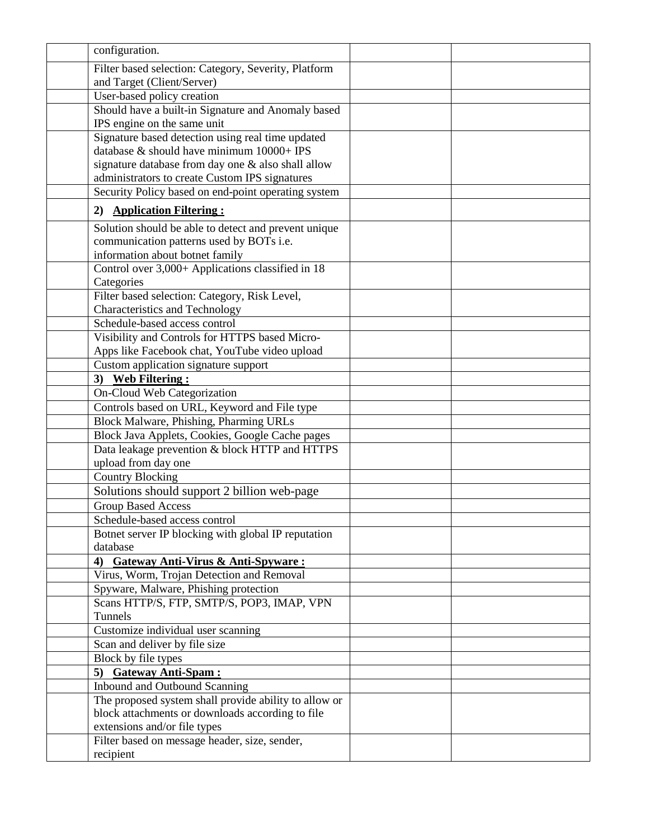| configuration.                                                  |  |
|-----------------------------------------------------------------|--|
| Filter based selection: Category, Severity, Platform            |  |
| and Target (Client/Server)                                      |  |
| User-based policy creation                                      |  |
| Should have a built-in Signature and Anomaly based              |  |
| IPS engine on the same unit                                     |  |
| Signature based detection using real time updated               |  |
| database & should have minimum 10000+ IPS                       |  |
| signature database from day one & also shall allow              |  |
| administrators to create Custom IPS signatures                  |  |
| Security Policy based on end-point operating system             |  |
| 2) Application Filtering:                                       |  |
| Solution should be able to detect and prevent unique            |  |
| communication patterns used by BOTs i.e.                        |  |
| information about botnet family                                 |  |
| Control over 3,000+ Applications classified in 18               |  |
| Categories                                                      |  |
| Filter based selection: Category, Risk Level,                   |  |
| <b>Characteristics and Technology</b>                           |  |
| Schedule-based access control                                   |  |
| Visibility and Controls for HTTPS based Micro-                  |  |
| Apps like Facebook chat, YouTube video upload                   |  |
| Custom application signature support                            |  |
| 3) Web Filtering:                                               |  |
| On-Cloud Web Categorization                                     |  |
| Controls based on URL, Keyword and File type                    |  |
| Block Malware, Phishing, Pharming URLs                          |  |
| Block Java Applets, Cookies, Google Cache pages                 |  |
| Data leakage prevention & block HTTP and HTTPS                  |  |
| upload from day one                                             |  |
| <b>Country Blocking</b>                                         |  |
| Solutions should support 2 billion web-page                     |  |
| <b>Group Based Access</b>                                       |  |
| Schedule-based access control                                   |  |
| Botnet server IP blocking with global IP reputation<br>database |  |
| <b>Gateway Anti-Virus &amp; Anti-Spyware:</b><br>4)             |  |
| Virus, Worm, Trojan Detection and Removal                       |  |
| Spyware, Malware, Phishing protection                           |  |
| Scans HTTP/S, FTP, SMTP/S, POP3, IMAP, VPN                      |  |
| Tunnels                                                         |  |
| Customize individual user scanning                              |  |
| Scan and deliver by file size                                   |  |
| Block by file types                                             |  |
| 5) Gateway Anti-Spam:                                           |  |
| Inbound and Outbound Scanning                                   |  |
| The proposed system shall provide ability to allow or           |  |
| block attachments or downloads according to file                |  |
| extensions and/or file types                                    |  |
| Filter based on message header, size, sender,                   |  |
| recipient                                                       |  |